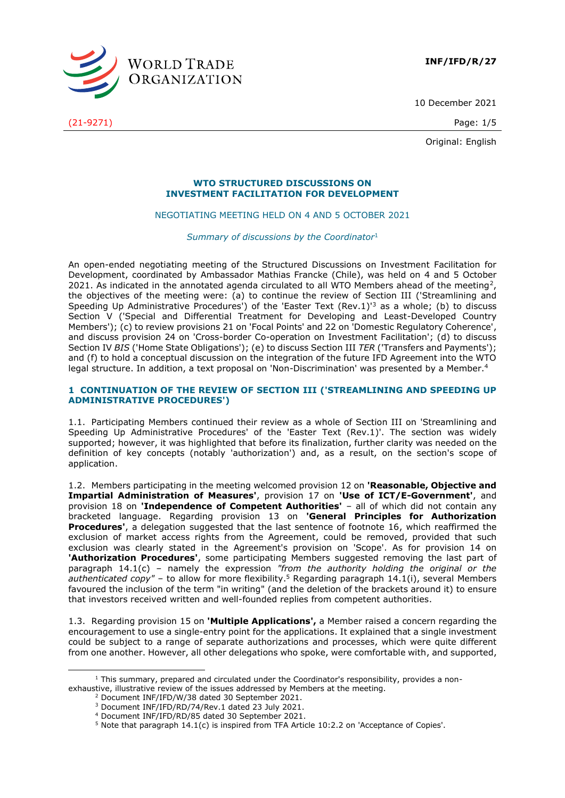

10 December 2021

(21-9271) Page: 1/5

Original: English

## **WTO STRUCTURED DISCUSSIONS ON INVESTMENT FACILITATION FOR DEVELOPMENT**

# NEGOTIATING MEETING HELD ON 4 AND 5 OCTOBER 2021

*Summary of discussions by the Coordinator*<sup>1</sup>

An open-ended negotiating meeting of the Structured Discussions on Investment Facilitation for Development, coordinated by Ambassador Mathias Francke (Chile), was held on 4 and 5 October 2021. As indicated in the annotated agenda circulated to all WTO Members ahead of the meeting<sup>2</sup>, the objectives of the meeting were: (a) to continue the review of Section III ('Streamlining and Speeding Up Administrative Procedures') of the 'Easter Text (Rev.1)<sup>3</sup> as a whole; (b) to discuss Section V ('Special and Differential Treatment for Developing and Least-Developed Country Members'); (c) to review provisions 21 on 'Focal Points' and 22 on 'Domestic Regulatory Coherence', and discuss provision 24 on 'Cross-border Co-operation on Investment Facilitation'; (d) to discuss Section IV *BIS* ('Home State Obligations'); (e) to discuss Section III *TER* ('Transfers and Payments'); and (f) to hold a conceptual discussion on the integration of the future IFD Agreement into the WTO legal structure. In addition, a text proposal on 'Non-Discrimination' was presented by a Member.<sup>4</sup>

# **1 CONTINUATION OF THE REVIEW OF SECTION III ('STREAMLINING AND SPEEDING UP ADMINISTRATIVE PROCEDURES')**

1.1. Participating Members continued their review as a whole of Section III on 'Streamlining and Speeding Up Administrative Procedures' of the 'Easter Text (Rev.1)'. The section was widely supported; however, it was highlighted that before its finalization, further clarity was needed on the definition of key concepts (notably 'authorization') and, as a result, on the section's scope of application.

1.2. Members participating in the meeting welcomed provision 12 on **'Reasonable, Objective and Impartial Administration of Measures'**, provision 17 on **'Use of ICT/E-Government'**, and provision 18 on **'Independence of Competent Authorities'** – all of which did not contain any bracketed language. Regarding provision 13 on **'General Principles for Authorization Procedures'**, a delegation suggested that the last sentence of footnote 16, which reaffirmed the exclusion of market access rights from the Agreement, could be removed, provided that such exclusion was clearly stated in the Agreement's provision on 'Scope'. As for provision 14 on **'Authorization Procedures'**, some participating Members suggested removing the last part of paragraph 14.1(c) – namely the expression *"from the authority holding the original or the authenticated copy"* – to allow for more flexibility. <sup>5</sup> Regarding paragraph 14.1(i), several Members favoured the inclusion of the term "in writing" (and the deletion of the brackets around it) to ensure that investors received written and well-founded replies from competent authorities.

1.3. Regarding provision 15 on **'Multiple Applications',** a Member raised a concern regarding the encouragement to use a single-entry point for the applications. It explained that a single investment could be subject to a range of separate authorizations and processes, which were quite different from one another. However, all other delegations who spoke, were comfortable with, and supported,

<sup>2</sup> Document INF/IFD/W/38 dated 30 September 2021.

<sup>&</sup>lt;sup>1</sup> This summary, prepared and circulated under the Coordinator's responsibility, provides a nonexhaustive, illustrative review of the issues addressed by Members at the meeting.

<sup>3</sup> Document INF/IFD/RD/74/Rev.1 dated 23 July 2021.

<sup>4</sup> Document INF/IFD/RD/85 dated 30 September 2021.

<sup>5</sup> Note that paragraph 14.1(c) is inspired from TFA Article 10:2.2 on 'Acceptance of Copies'.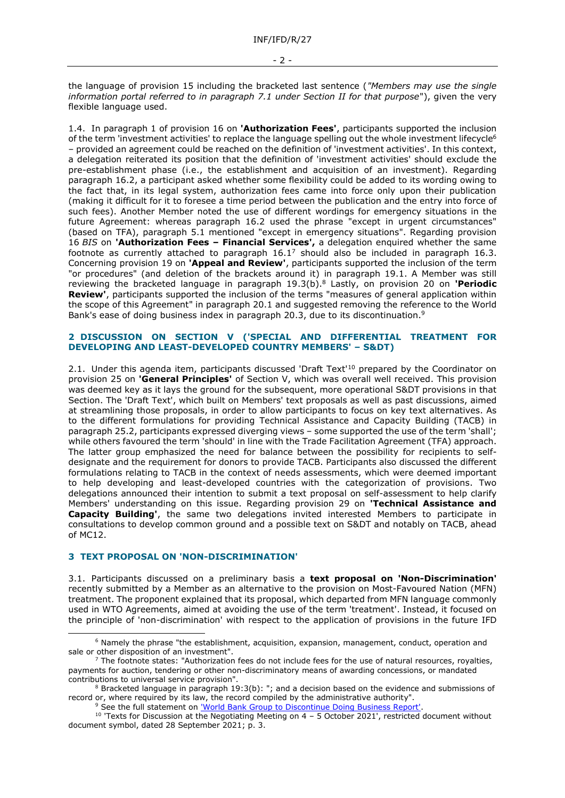the language of provision 15 including the bracketed last sentence (*"Members may use the single information portal referred to in paragraph 7.1 under Section II for that purpose*"), given the very flexible language used.

1.4. In paragraph 1 of provision 16 on **'Authorization Fees'**, participants supported the inclusion of the term 'investment activities' to replace the language spelling out the whole investment lifecycle<sup>6</sup> – provided an agreement could be reached on the definition of 'investment activities'. In this context, a delegation reiterated its position that the definition of 'investment activities' should exclude the pre-establishment phase (i.e., the establishment and acquisition of an investment). Regarding paragraph 16.2, a participant asked whether some flexibility could be added to its wording owing to the fact that, in its legal system, authorization fees came into force only upon their publication (making it difficult for it to foresee a time period between the publication and the entry into force of such fees). Another Member noted the use of different wordings for emergency situations in the future Agreement: whereas paragraph 16.2 used the phrase "except in urgent circumstances" (based on TFA), paragraph 5.1 mentioned "except in emergency situations". Regarding provision 16 *BIS* on **'Authorization Fees – Financial Services',** a delegation enquired whether the same footnote as currently attached to paragraph  $16.1<sup>7</sup>$  should also be included in paragraph 16.3. Concerning provision 19 on **'Appeal and Review'**, participants supported the inclusion of the term "or procedures" (and deletion of the brackets around it) in paragraph 19.1. A Member was still reviewing the bracketed language in paragraph 19.3(b). <sup>8</sup> Lastly, on provision 20 on **'Periodic Review'**, participants supported the inclusion of the terms "measures of general application within the scope of this Agreement" in paragraph 20.1 and suggested removing the reference to the World Bank's ease of doing business index in paragraph 20.3, due to its discontinuation.<sup>9</sup>

## **2 DISCUSSION ON SECTION V ('SPECIAL AND DIFFERENTIAL TREATMENT FOR DEVELOPING AND LEAST-DEVELOPED COUNTRY MEMBERS' – S&DT)**

2.1. Under this agenda item, participants discussed 'Draft Text'<sup>10</sup> prepared by the Coordinator on provision 25 on **'General Principles'** of Section V, which was overall well received. This provision was deemed key as it lays the ground for the subsequent, more operational S&DT provisions in that Section. The 'Draft Text', which built on Members' text proposals as well as past discussions, aimed at streamlining those proposals, in order to allow participants to focus on key text alternatives. As to the different formulations for providing Technical Assistance and Capacity Building (TACB) in paragraph 25.2, participants expressed diverging views – some supported the use of the term 'shall'; while others favoured the term 'should' in line with the Trade Facilitation Agreement (TFA) approach. The latter group emphasized the need for balance between the possibility for recipients to selfdesignate and the requirement for donors to provide TACB. Participants also discussed the different formulations relating to TACB in the context of needs assessments, which were deemed important to help developing and least-developed countries with the categorization of provisions. Two delegations announced their intention to submit a text proposal on self-assessment to help clarify Members' understanding on this issue. Regarding provision 29 on **'Technical Assistance and Capacity Building'**, the same two delegations invited interested Members to participate in consultations to develop common ground and a possible text on S&DT and notably on TACB, ahead of MC12.

# **3 TEXT PROPOSAL ON 'NON-DISCRIMINATION'**

3.1. Participants discussed on a preliminary basis a **text proposal on 'Non-Discrimination'** recently submitted by a Member as an alternative to the provision on Most-Favoured Nation (MFN) treatment. The proponent explained that its proposal, which departed from MFN language commonly used in WTO Agreements, aimed at avoiding the use of the term 'treatment'. Instead, it focused on the principle of 'non-discrimination' with respect to the application of provisions in the future IFD

<sup>9</sup> See the full statement on *'World Bank Group to Discontinue Doing Business Report'* 

<sup>&</sup>lt;sup>6</sup> Namely the phrase "the establishment, acquisition, expansion, management, conduct, operation and sale or other disposition of an investment".

 $^7$  The footnote states: "Authorization fees do not include fees for the use of natural resources, royalties, payments for auction, tendering or other non-discriminatory means of awarding concessions, or mandated contributions to universal service provision".

<sup>&</sup>lt;sup>8</sup> Bracketed language in paragraph 19:3(b): "; and a decision based on the evidence and submissions of record or, where required by its law, the record compiled by the administrative authority".

<sup>&</sup>lt;sup>10</sup> 'Texts for Discussion at the Negotiating Meeting on 4 – 5 October 2021', restricted document without document symbol, dated 28 September 2021; p. 3.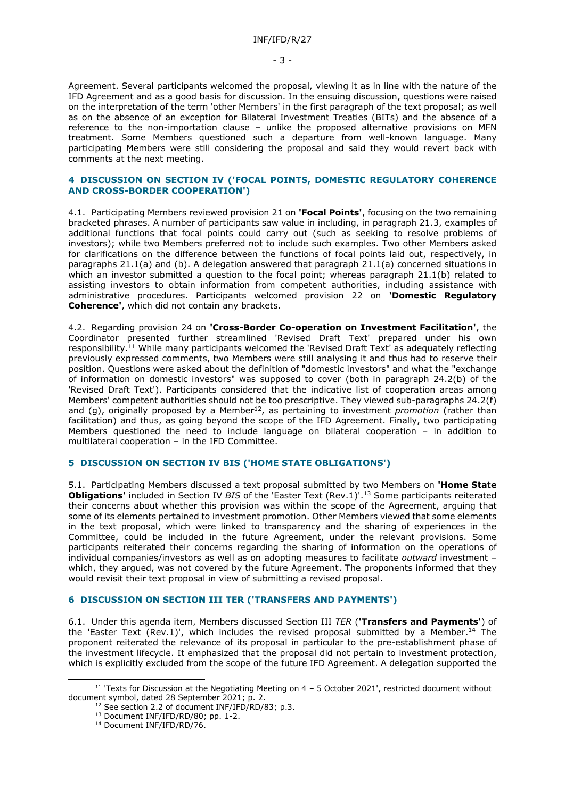Agreement. Several participants welcomed the proposal, viewing it as in line with the nature of the IFD Agreement and as a good basis for discussion. In the ensuing discussion, questions were raised on the interpretation of the term 'other Members' in the first paragraph of the text proposal; as well as on the absence of an exception for Bilateral Investment Treaties (BITs) and the absence of a reference to the non-importation clause – unlike the proposed alternative provisions on MFN treatment. Some Members questioned such a departure from well-known language. Many participating Members were still considering the proposal and said they would revert back with comments at the next meeting.

#### **4 DISCUSSION ON SECTION IV ('FOCAL POINTS, DOMESTIC REGULATORY COHERENCE AND CROSS-BORDER COOPERATION')**

4.1. Participating Members reviewed provision 21 on **'Focal Points'**, focusing on the two remaining bracketed phrases. A number of participants saw value in including, in paragraph 21.3, examples of additional functions that focal points could carry out (such as seeking to resolve problems of investors); while two Members preferred not to include such examples. Two other Members asked for clarifications on the difference between the functions of focal points laid out, respectively, in paragraphs 21.1(a) and (b). A delegation answered that paragraph 21.1(a) concerned situations in which an investor submitted a question to the focal point; whereas paragraph 21.1(b) related to assisting investors to obtain information from competent authorities, including assistance with administrative procedures. Participants welcomed provision 22 on **'Domestic Regulatory Coherence'**, which did not contain any brackets.

4.2. Regarding provision 24 on **'Cross-Border Co-operation on Investment Facilitation'**, the Coordinator presented further streamlined 'Revised Draft Text' prepared under his own responsibility.<sup>11</sup> While many participants welcomed the 'Revised Draft Text' as adequately reflecting previously expressed comments, two Members were still analysing it and thus had to reserve their position. Questions were asked about the definition of "domestic investors" and what the "exchange of information on domestic investors" was supposed to cover (both in paragraph 24.2(b) of the 'Revised Draft Text'). Participants considered that the indicative list of cooperation areas among Members' competent authorities should not be too prescriptive. They viewed sub-paragraphs 24.2(f) and (g), originally proposed by a Member<sup>12</sup>, as pertaining to investment *promotion* (rather than facilitation) and thus, as going beyond the scope of the IFD Agreement. Finally, two participating Members questioned the need to include language on bilateral cooperation – in addition to multilateral cooperation – in the IFD Committee.

# **5 DISCUSSION ON SECTION IV BIS ('HOME STATE OBLIGATIONS')**

5.1. Participating Members discussed a text proposal submitted by two Members on **'Home State Obligations'** included in Section IV *BIS* of the 'Easter Text (Rev.1)'. <sup>13</sup> Some participants reiterated their concerns about whether this provision was within the scope of the Agreement, arguing that some of its elements pertained to investment promotion. Other Members viewed that some elements in the text proposal, which were linked to transparency and the sharing of experiences in the Committee, could be included in the future Agreement, under the relevant provisions. Some participants reiterated their concerns regarding the sharing of information on the operations of individual companies/investors as well as on adopting measures to facilitate *outward* investment – which, they argued, was not covered by the future Agreement. The proponents informed that they would revisit their text proposal in view of submitting a revised proposal.

#### **6 DISCUSSION ON SECTION III TER ('TRANSFERS AND PAYMENTS')**

6.1. Under this agenda item, Members discussed Section III *TER* (**'Transfers and Payments'**) of the 'Easter Text (Rev.1)', which includes the revised proposal submitted by a Member.<sup>14</sup> The proponent reiterated the relevance of its proposal in particular to the pre-establishment phase of the investment lifecycle. It emphasized that the proposal did not pertain to investment protection, which is explicitly excluded from the scope of the future IFD Agreement. A delegation supported the

 $11$  'Texts for Discussion at the Negotiating Meeting on  $4 - 5$  October 2021', restricted document without document symbol, dated 28 September 2021; p. 2.

<sup>&</sup>lt;sup>12</sup> See section 2.2 of document INF/IFD/RD/83; p.3.

<sup>13</sup> Document INF/IFD/RD/80; pp. 1-2.

<sup>&</sup>lt;sup>14</sup> Document INF/IFD/RD/76.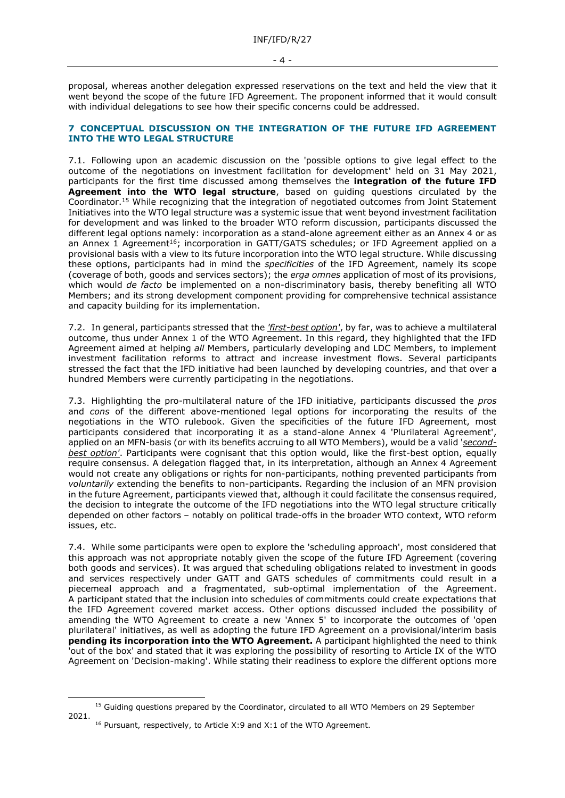proposal, whereas another delegation expressed reservations on the text and held the view that it went beyond the scope of the future IFD Agreement. The proponent informed that it would consult with individual delegations to see how their specific concerns could be addressed.

# **7 CONCEPTUAL DISCUSSION ON THE INTEGRATION OF THE FUTURE IFD AGREEMENT INTO THE WTO LEGAL STRUCTURE**

7.1. Following upon an academic discussion on the 'possible options to give legal effect to the outcome of the negotiations on investment facilitation for development' held on 31 May 2021, participants for the first time discussed among themselves the **integration of the future IFD Agreement into the WTO legal structure**, based on guiding questions circulated by the Coordinator.<sup>15</sup> While recognizing that the integration of negotiated outcomes from Joint Statement Initiatives into the WTO legal structure was a systemic issue that went beyond investment facilitation for development and was linked to the broader WTO reform discussion, participants discussed the different legal options namely: incorporation as a stand-alone agreement either as an Annex 4 or as an Annex 1 Agreement<sup>16</sup>; incorporation in GATT/GATS schedules; or IFD Agreement applied on a provisional basis with a view to its future incorporation into the WTO legal structure. While discussing these options, participants had in mind the *specificities* of the IFD Agreement, namely its scope (coverage of both, goods and services sectors); the *erga omnes* application of most of its provisions, which would *de facto* be implemented on a non-discriminatory basis, thereby benefiting all WTO Members; and its strong development component providing for comprehensive technical assistance and capacity building for its implementation.

7.2. In general, participants stressed that the *'first-best option'*, by far, was to achieve a multilateral outcome, thus under Annex 1 of the WTO Agreement. In this regard, they highlighted that the IFD Agreement aimed at helping *all* Members, particularly developing and LDC Members, to implement investment facilitation reforms to attract and increase investment flows. Several participants stressed the fact that the IFD initiative had been launched by developing countries, and that over a hundred Members were currently participating in the negotiations.

7.3. Highlighting the pro-multilateral nature of the IFD initiative, participants discussed the *pros*  and *cons* of the different above-mentioned legal options for incorporating the results of the negotiations in the WTO rulebook. Given the specificities of the future IFD Agreement, most participants considered that incorporating it as a stand-alone Annex 4 'Plurilateral Agreement', applied on an MFN-basis (or with its benefits accruing to all WTO Members), would be a valid '*secondbest option'*. Participants were cognisant that this option would, like the first-best option, equally require consensus. A delegation flagged that, in its interpretation, although an Annex 4 Agreement would not create any obligations or rights for non-participants, nothing prevented participants from *voluntarily* extending the benefits to non-participants. Regarding the inclusion of an MFN provision in the future Agreement, participants viewed that, although it could facilitate the consensus required, the decision to integrate the outcome of the IFD negotiations into the WTO legal structure critically depended on other factors – notably on political trade-offs in the broader WTO context, WTO reform issues, etc.

7.4. While some participants were open to explore the 'scheduling approach', most considered that this approach was not appropriate notably given the scope of the future IFD Agreement (covering both goods and services). It was argued that scheduling obligations related to investment in goods and services respectively under GATT and GATS schedules of commitments could result in a piecemeal approach and a fragmentated, sub-optimal implementation of the Agreement. A participant stated that the inclusion into schedules of commitments could create expectations that the IFD Agreement covered market access. Other options discussed included the possibility of amending the WTO Agreement to create a new 'Annex 5' to incorporate the outcomes of 'open plurilateral' initiatives, as well as adopting the future IFD Agreement on a provisional/interim basis **pending its incorporation into the WTO Agreement.** A participant highlighted the need to think 'out of the box' and stated that it was exploring the possibility of resorting to Article IX of the WTO Agreement on 'Decision-making'. While stating their readiness to explore the different options more

<sup>&</sup>lt;sup>15</sup> Guiding questions prepared by the Coordinator, circulated to all WTO Members on 29 September 2021.

<sup>&</sup>lt;sup>16</sup> Pursuant, respectively, to Article X:9 and X:1 of the WTO Agreement.